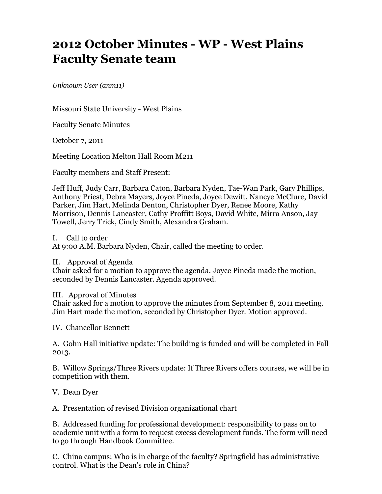## **2012 October Minutes - WP - West Plains Faculty Senate team**

*Unknown User (anm11)*

Missouri State University - West Plains

Faculty Senate Minutes

October 7, 2011

Meeting Location Melton Hall Room M211

Faculty members and Staff Present:

Jeff Huff, Judy Carr, Barbara Caton, Barbara Nyden, Tae-Wan Park, Gary Phillips, Anthony Priest, Debra Mayers, Joyce Pineda, Joyce Dewitt, Nancye McClure, David Parker, Jim Hart, Melinda Denton, Christopher Dyer, Renee Moore, Kathy Morrison, Dennis Lancaster, Cathy Proffitt Boys, David White, Mirra Anson, Jay Towell, Jerry Trick, Cindy Smith, Alexandra Graham.

I. Call to order

At 9:00 A.M. Barbara Nyden, Chair, called the meeting to order.

II. Approval of Agenda

Chair asked for a motion to approve the agenda. Joyce Pineda made the motion, seconded by Dennis Lancaster. Agenda approved.

III. Approval of Minutes

Chair asked for a motion to approve the minutes from September 8, 2011 meeting. Jim Hart made the motion, seconded by Christopher Dyer. Motion approved.

IV. Chancellor Bennett

A. Gohn Hall initiative update: The building is funded and will be completed in Fall 2013.

B. Willow Springs/Three Rivers update: If Three Rivers offers courses, we will be in competition with them.

V. Dean Dyer

A. Presentation of revised Division organizational chart

B. Addressed funding for professional development: responsibility to pass on to academic unit with a form to request excess development funds. The form will need to go through Handbook Committee.

C. China campus: Who is in charge of the faculty? Springfield has administrative control. What is the Dean's role in China?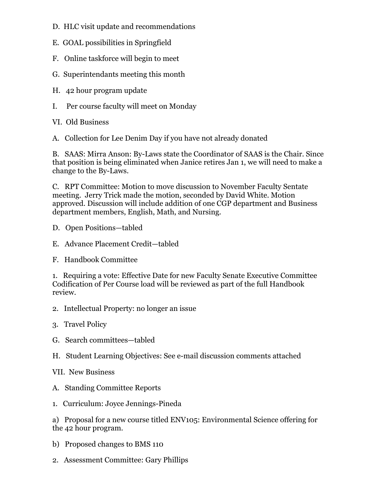- D. HLC visit update and recommendations
- E. GOAL possibilities in Springfield
- F. Online taskforce will begin to meet
- G. Superintendants meeting this month
- H. 42 hour program update
- I. Per course faculty will meet on Monday
- VI. Old Business
- A. Collection for Lee Denim Day if you have not already donated

B. SAAS: Mirra Anson: By-Laws state the Coordinator of SAAS is the Chair. Since that position is being eliminated when Janice retires Jan 1, we will need to make a change to the By-Laws.

C. RPT Committee: Motion to move discussion to November Faculty Sentate meeting. Jerry Trick made the motion, seconded by David White. Motion approved. Discussion will include addition of one CGP department and Business department members, English, Math, and Nursing.

- D. Open Positions—tabled
- E. Advance Placement Credit—tabled
- F. Handbook Committee

1. Requiring a vote: Effective Date for new Faculty Senate Executive Committee Codification of Per Course load will be reviewed as part of the full Handbook review.

- 2. Intellectual Property: no longer an issue
- 3. Travel Policy
- G. Search committees—tabled
- H. Student Learning Objectives: See e-mail discussion comments attached
- VII. New Business
- A. Standing Committee Reports
- 1. Curriculum: Joyce Jennings-Pineda

a) Proposal for a new course titled ENV105: Environmental Science offering for the 42 hour program.

- b) Proposed changes to BMS 110
- 2. Assessment Committee: Gary Phillips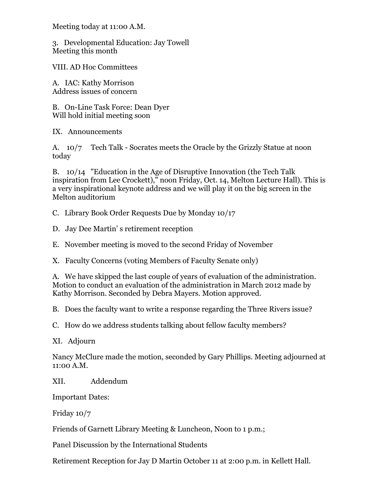Meeting today at 11:00 A.M.

3. Developmental Education: Jay Towell Meeting this month

VIII. AD Hoc Committees

A. IAC: Kathy Morrison Address issues of concern

B. On-Line Task Force: Dean Dyer Will hold initial meeting soon

IX. Announcements

A. 10/7 Tech Talk - Socrates meets the Oracle by the Grizzly Statue at noon today

B. 10/14 "Education in the Age of Disruptive Innovation (the Tech Talk inspiration from Lee Crockett)," noon Friday, Oct. 14, Melton Lecture Hall). This is a very inspirational keynote address and we will play it on the big screen in the Melton auditorium

C. Library Book Order Requests Due by Monday 10/17

D. Jay Dee Martin' s retirement reception

E. November meeting is moved to the second Friday of November

X. Faculty Concerns (voting Members of Faculty Senate only)

A. We have skipped the last couple of years of evaluation of the administration. Motion to conduct an evaluation of the administration in March 2012 made by Kathy Morrison. Seconded by Debra Mayers. Motion approved.

B. Does the faculty want to write a response regarding the Three Rivers issue?

C. How do we address students talking about fellow faculty members?

XI. Adjourn

Nancy McClure made the motion, seconded by Gary Phillips. Meeting adjourned at 11:00 A.M.

XII. Addendum

Important Dates:

Friday 10/7

Friends of Garnett Library Meeting & Luncheon, Noon to 1 p.m.;

Panel Discussion by the International Students

Retirement Reception for Jay D Martin October 11 at 2:00 p.m. in Kellett Hall.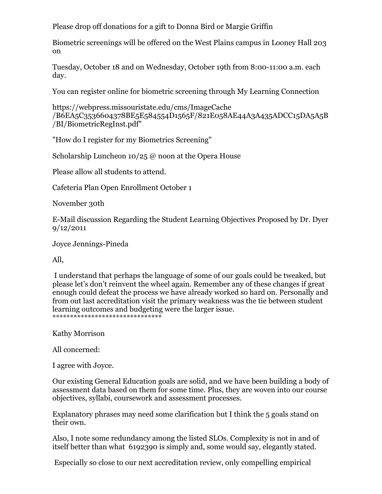Please drop off donations for a gift to Donna Bird or Margie Griffin

Biometric screenings will be offered on the West Plains campus in Looney Hall 203 on

Tuesday, October 18 and on Wednesday, October 19th from 8:00-11:00 a.m. each day.

You can register online for biometric screening through My Learning Connection

https://webpress.missouristate.edu/cms/ImageCache /B6EA5C3536604378BE5E584554D1565F/821E058AE44A3A435ADCC15DA5A5B /BI/BiometricRegInst.pdf"

"How do I register for my Biometrics Screening"

Scholarship Luncheon 10/25 @ noon at the Opera House

Please allow all students to attend.

Cafeteria Plan Open Enrollment October 1

November 30th

E-Mail discussion Regarding the Student Learning Objectives Proposed by Dr. Dyer 9/12/2011

Joyce Jennings-Pineda

All,

 I understand that perhaps the language of some of our goals could be tweaked, but please let's don't reinvent the wheel again. Remember any of these changes if great enough could defeat the process we have already worked so hard on. Personally and from out last accreditation visit the primary weakness was the tie between student learning outcomes and budgeting were the larger issue. \*\*\*\*\*\*\*\*\*\*\*\*\*\*\*\*\*\*\*\*\*\*\*\*\*\*\*\*\*\*\*

Kathy Morrison

All concerned:

I agree with Joyce.

Our existing General Education goals are solid, and we have been building a body of assessment data based on them for some time. Plus, they are woven into our course objectives, syllabi, coursework and assessment processes.

Explanatory phrases may need some clarification but I think the 5 goals stand on their own.

Also, I note some redundancy among the listed SLOs. Complexity is not in and of itself better than what 6192390 is simply and, some would say, elegantly stated.

Especially so close to our next accreditation review, only compelling empirical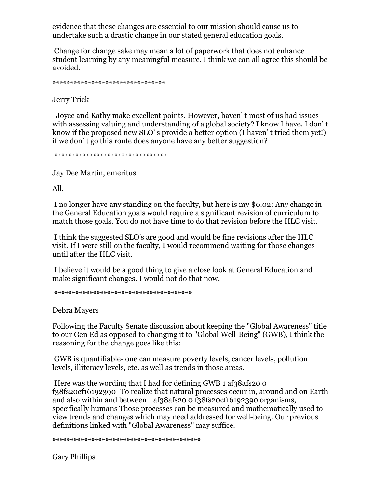evidence that these changes are essential to our mission should cause us to undertake such a drastic change in our stated general education goals.

 Change for change sake may mean a lot of paperwork that does not enhance student learning by any meaningful measure. I think we can all agree this should be avoided.

\*\*\*\*\*\*\*\*\*\*\*\*\*\*\*\*\*\*\*\*\*\*\*\*\*\*\*\*\*\*\*\*

Jerry Trick

 Joyce and Kathy make excellent points. However, haven' t most of us had issues with assessing valuing and understanding of a global society? I know I have. I don' t know if the proposed new SLO' s provide a better option (I haven' t tried them yet!) if we don' t go this route does anyone have any better suggestion?

\*\*\*\*\*\*\*\*\*\*\*\*\*\*\*\*\*\*\*\*\*\*\*\*\*\*\*\*\*\*\*\*

Jay Dee Martin, emeritus

All,

 I no longer have any standing on the faculty, but here is my \$0.02: Any change in the General Education goals would require a significant revision of curriculum to match those goals. You do not have time to do that revision before the HLC visit.

 I think the suggested SLO's are good and would be fine revisions after the HLC visit. If I were still on the faculty, I would recommend waiting for those changes until after the HLC visit.

 I believe it would be a good thing to give a close look at General Education and make significant changes. I would not do that now.

\*\*\*\*\*\*\*\*\*\*\*\*\*\*\*\*\*\*\*\*\*\*\*\*\*\*\*\*\*\*\*\*\*\*\*\*\*\*\*

Debra Mayers

Following the Faculty Senate discussion about keeping the "Global Awareness" title to our Gen Ed as opposed to changing it to "Global Well-Being" (GWB), I think the reasoning for the change goes like this:

 GWB is quantifiable- one can measure poverty levels, cancer levels, pollution levels, illiteracy levels, etc. as well as trends in those areas.

Here was the wording that I had for defining GWB 1 af38afs20 0 f38fs20cf16192390 -To realize that natural processes occur in, around and on Earth and also within and between 1 af38afs20 0 f38fs20cf16192390 organisms, specifically humans Those processes can be measured and mathematically used to view trends and changes which may need addressed for well-being. Our previous definitions linked with "Global Awareness" may suffice.

\*\*\*\*\*\*\*\*\*\*\*\*\*\*\*\*\*\*\*\*\*\*\*\*\*\*\*\*\*\*\*\*\*\*\*\*\*\*\*\*\*\*

Gary Phillips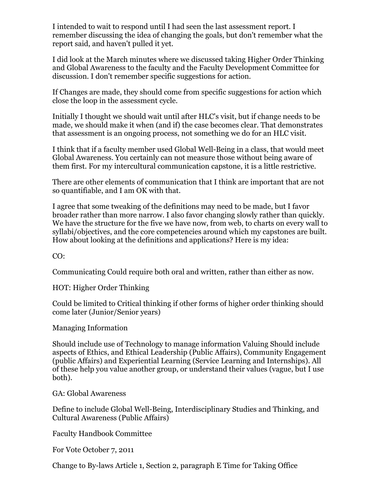I intended to wait to respond until I had seen the last assessment report. I remember discussing the idea of changing the goals, but don't remember what the report said, and haven't pulled it yet.

I did look at the March minutes where we discussed taking Higher Order Thinking and Global Awareness to the faculty and the Faculty Development Committee for discussion. I don't remember specific suggestions for action.

If Changes are made, they should come from specific suggestions for action which close the loop in the assessment cycle.

Initially I thought we should wait until after HLC's visit, but if change needs to be made, we should make it when (and if) the case becomes clear. That demonstrates that assessment is an ongoing process, not something we do for an HLC visit.

I think that if a faculty member used Global Well-Being in a class, that would meet Global Awareness. You certainly can not measure those without being aware of them first. For my intercultural communication capstone, it is a little restrictive.

There are other elements of communication that I think are important that are not so quantifiable, and I am OK with that.

I agree that some tweaking of the definitions may need to be made, but I favor broader rather than more narrow. I also favor changing slowly rather than quickly. We have the structure for the five we have now, from web, to charts on every wall to syllabi/objectives, and the core competencies around which my capstones are built. How about looking at the definitions and applications? Here is my idea:

CO:

Communicating Could require both oral and written, rather than either as now.

HOT: Higher Order Thinking

Could be limited to Critical thinking if other forms of higher order thinking should come later (Junior/Senior years)

Managing Information

Should include use of Technology to manage information Valuing Should include aspects of Ethics, and Ethical Leadership (Public Affairs), Community Engagement (public Affairs) and Experiential Learning (Service Learning and Internships). All of these help you value another group, or understand their values (vague, but I use both).

GA: Global Awareness

Define to include Global Well-Being, Interdisciplinary Studies and Thinking, and Cultural Awareness (Public Affairs)

Faculty Handbook Committee

For Vote October 7, 2011

Change to By-laws Article 1, Section 2, paragraph E Time for Taking Office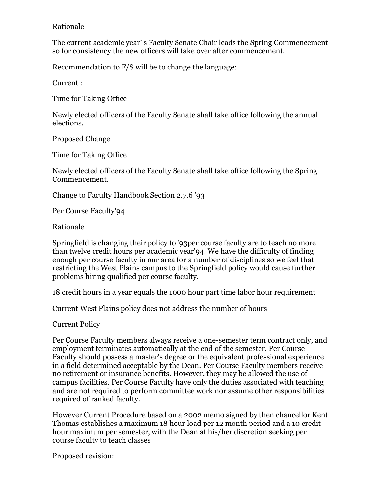## Rationale

The current academic year' s Faculty Senate Chair leads the Spring Commencement so for consistency the new officers will take over after commencement.

Recommendation to F/S will be to change the language:

Current :

Time for Taking Office

Newly elected officers of the Faculty Senate shall take office following the annual elections.

Proposed Change

Time for Taking Office

Newly elected officers of the Faculty Senate shall take office following the Spring Commencement.

Change to Faculty Handbook Section 2.7.6 '93

Per Course Faculty'94

Rationale

Springfield is changing their policy to '93per course faculty are to teach no more than twelve credit hours per academic year'94. We have the difficulty of finding enough per course faculty in our area for a number of disciplines so we feel that restricting the West Plains campus to the Springfield policy would cause further problems hiring qualified per course faculty.

18 credit hours in a year equals the 1000 hour part time labor hour requirement

Current West Plains policy does not address the number of hours

Current Policy

Per Course Faculty members always receive a one-semester term contract only, and employment terminates automatically at the end of the semester. Per Course Faculty should possess a master's degree or the equivalent professional experience in a field determined acceptable by the Dean. Per Course Faculty members receive no retirement or insurance benefits. However, they may be allowed the use of campus facilities. Per Course Faculty have only the duties associated with teaching and are not required to perform committee work nor assume other responsibilities required of ranked faculty.

However Current Procedure based on a 2002 memo signed by then chancellor Kent Thomas establishes a maximum 18 hour load per 12 month period and a 10 credit hour maximum per semester, with the Dean at his/her discretion seeking per course faculty to teach classes

Proposed revision: